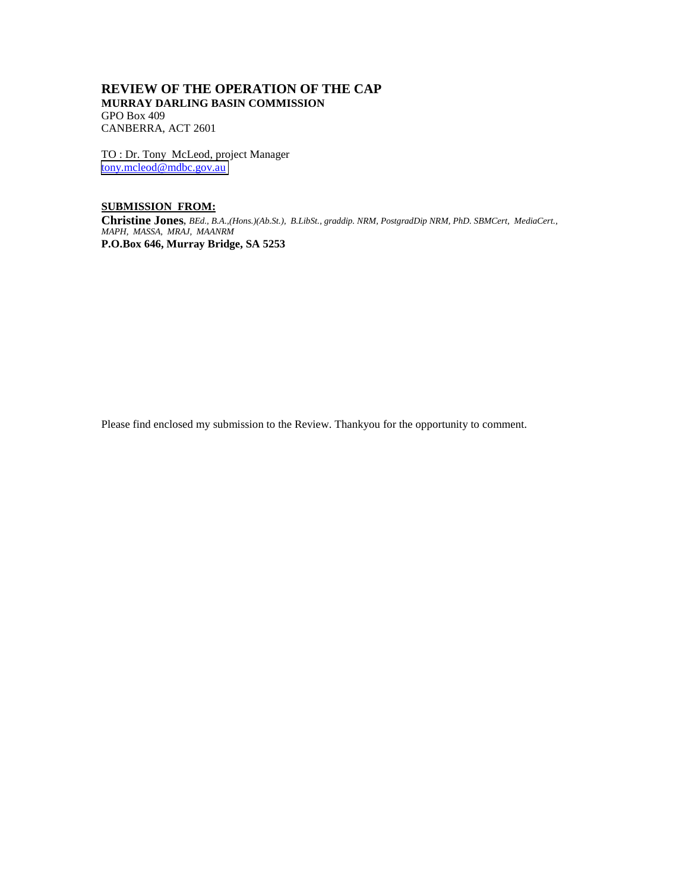# **REVIEW OF THE OPERATION OF THE CAP MURRAY DARLING BASIN COMMISSION** GPO Box 409 CANBERRA, ACT 2601

TO : Dr. Tony McLeod, project Manager [tony.mcleod@mdbc.gov.au](mailto:tony.mcleod@mdbc.gov.au)

# **SUBMISSION FROM:**

**Christine Jones**, *BEd., B.A.,(Hons.)(Ab.St.), B.LibSt., graddip. NRM, PostgradDip NRM, PhD. SBMCert, MediaCert., MAPH, MASSA, MRAJ, MAANRM* **P.O.Box 646, Murray Bridge, SA 5253**

Please find enclosed my submission to the Review. Thankyou for the opportunity to comment.